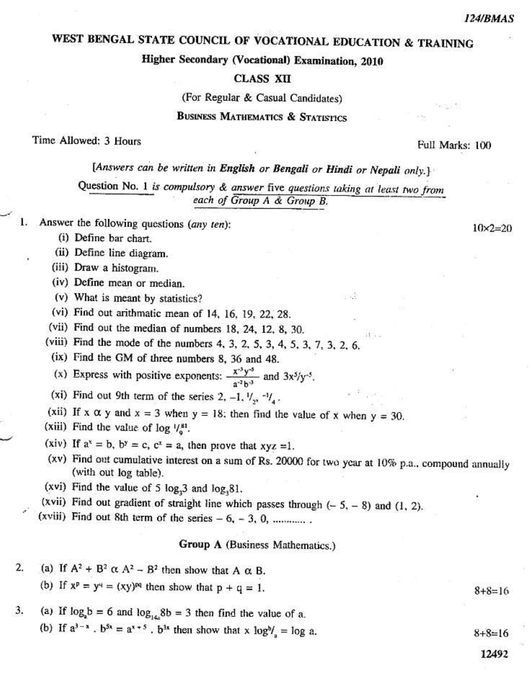$10 \times 2 = 20$ 

# WEST BENGAL STATE COUNCIL OF VOCATIONAL EDUCATION & TRAINING

# Higher Secondary (Vocational) Examination, 2010

#### **CLASS XII**

(For Regular & Casual Candidates)

## **BUSINESS MATHEMATICS & STATISTICS**

#### Time Allowed: 3 Hours

Full Marks: 100

# [Answers can be written in English or Bengali or Hindi or Nepali only.]

Question No. 1 is compulsory & answer five questions taking at least two from each of Group A & Group B.

- Answer the following questions (any ten): 1.
	- (i) Define bar chart.
	- (ii) Define line diagram.
	- (iii) Draw a histogram.
	- (iv) Define mean or median.
	- (v) What is meant by statistics?
	- (vi) Find out arithmatic mean of 14, 16, 19, 22, 28.
	- (vii) Find out the median of numbers 18, 24, 12, 8, 30.
	- (viii) Find the mode of the numbers 4, 3, 2, 5, 3, 4, 5, 3, 7, 3, 2, 6,
	- (ix) Find the GM of three numbers 8, 36 and 48.
	- (x) Express with positive exponents:  $\frac{x^{3}y^{3}}{a^{2}b^{3}}$  and  $3x^{5}/y^{-5}$ .
	- (xi) Find out 9th term of the series 2, -1,  $V_{22}$  - $V_{4}$ .
	- (xii) If x  $\alpha$  y and x = 3 when y = 18; then find the value of x when y = 30.
	- (xiii) Find the value of  $\log \frac{1}{8}$ .
	- (xiv) If  $a^x = b$ ,  $b^y = c$ ,  $c^z = a$ , then prove that  $xyz = 1$ .
	- (xv) Find out cumulative interest on a sum of Rs. 20000 for two year at 10% p.a., compound annually (with out log table).

动缝

 $11.7 -$ 

- (xvi) Find the value of 5 log<sub>3</sub> and log<sub>3</sub> 81.
- (xvii) Find out gradient of straight line which passes through  $(-5, -8)$  and  $(1, 2)$ .
- (xviii) Find out 8th term of the series  $-6$ ,  $-3$ , 0, .............

#### Group A (Business Mathematics.)

(a) If  $A^2 + B^2 \alpha A^2 - B^2$  then show that A  $\alpha$  B. 2. (b) If  $x^p = y^q = (xy)^{pq}$  then show that  $p + q = 1$ .  $8 + 8 = 16$ (a) If  $log_a b = 6$  and  $log_{14a} 8b = 3$  then find the value of a. 3. (b) If  $a^{3-x}$ .  $b^{5x} = a^{x+5}$ .  $b^{3x}$  then show that  $x \log^{b}l_a = \log a$ .  $8 + 8 = 16$ 

12492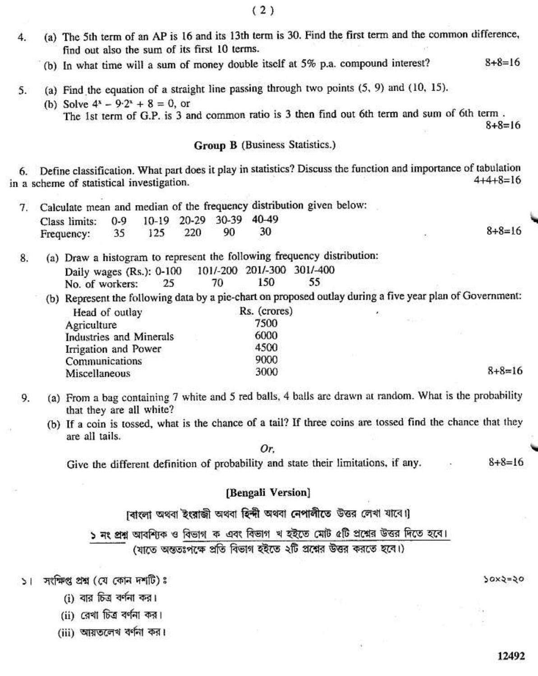$(2)$ 

- (a) The 5th term of an AP is 16 and its 13th term is 30. Find the first term and the common difference,  $\ddot{4}$ . find out also the sum of its first 10 terms.
	- (b) In what time will a sum of money double itself at 5% p.a. compound interest?  $8 + 8 = 16$
- (a) Find the equation of a straight line passing through two points  $(5, 9)$  and  $(10, 15)$ . 5.
	- (b) Solve  $4^x 9 \cdot 2^x + 8 = 0$ , or The 1st term of G.P. is 3 and common ratio is 3 then find out 6th term and sum of 6th term.  $8 + 8 = 16$

#### Group B (Business Statistics.)

6. Define classification. What part does it play in statistics? Discuss the function and importance of tabulation  $4+4+8=16$ in a scheme of statistical investigation.

|    | Calculate mean and median of the frequency distribution given below:                                         |    |     |       |              |       |                            |       |              |  |
|----|--------------------------------------------------------------------------------------------------------------|----|-----|-------|--------------|-------|----------------------------|-------|--------------|--|
|    | 10-19<br>Class limits:<br>$0 - 9$                                                                            |    |     | 20-29 | 30-39        | 40-49 |                            |       |              |  |
|    | Frequency:                                                                                                   | 35 | 125 | 220   | 90           | 30    |                            |       | $8 + 8 = 16$ |  |
| 8. | (a) Draw a histogram to represent the following frequency distribution:                                      |    |     |       |              |       |                            |       |              |  |
|    | Daily wages (Rs.): 0-100                                                                                     |    |     |       |              |       | 101/-200 201/-300 301/-400 |       |              |  |
|    | No. of workers:                                                                                              |    | 25  |       | 70           | 150   | 55                         |       |              |  |
|    | Represent the following data by a pie-chart on proposed outlay during a five year plan of Government:<br>(b) |    |     |       |              |       |                            |       |              |  |
|    | Head of outlay                                                                                               |    |     |       | Rs. (crores) |       |                            | Đ.    |              |  |
|    | Agriculture<br><b>Industries and Minerals</b><br>Irrigation and Power<br>Communications                      |    |     |       |              | 7500  |                            | 91. 7 |              |  |
|    |                                                                                                              |    |     |       |              | 6000  |                            |       |              |  |
|    |                                                                                                              |    |     |       |              | 4500  |                            |       |              |  |
|    |                                                                                                              |    |     |       |              | 9000  |                            |       |              |  |
|    | Miscellaneous                                                                                                |    |     |       |              | 3000  |                            |       | $8 + 8 = 16$ |  |
|    |                                                                                                              |    |     |       |              |       |                            |       |              |  |

- (a) From a bag containing 7 white and 5 red balls, 4 balls are drawn at random. What is the probability 9. that they are all white?
	- (b) If a coin is tossed, what is the chance of a tail? If three coins are tossed find the chance that they are all tails.

Or.

Give the different definition of probability and state their limitations, if any.  $8 + 8 = 16$ 

## [Bengali Version]

।বাংলা অথবা ইংরাজী অথবা হিন্দী অথবা নেপালীতে উত্তর লেখা যাবে।

১ নং প্রশ্ন আবশ্যিক ও বিভাগ ক এবং বিভাগ খ হইতে মোট ৫টি প্রশ্নের উত্তর দিতে হবে। (যাতে অন্ততঃপক্ষে প্রতি বিভাগ হইতে ২টি প্রশ্নের উত্তর করতে হবে।)

১। সংক্ষিপ্ত প্ৰশ্ন (যে কোন দশটি)ঃ

- (i) বার চিত্র বর্ণনা কর।
- (ii) রেখা চিত্র বর্ণনা কর।

(iii) আয়তলেখ বৰ্ণনা কর।

 $30x3=30$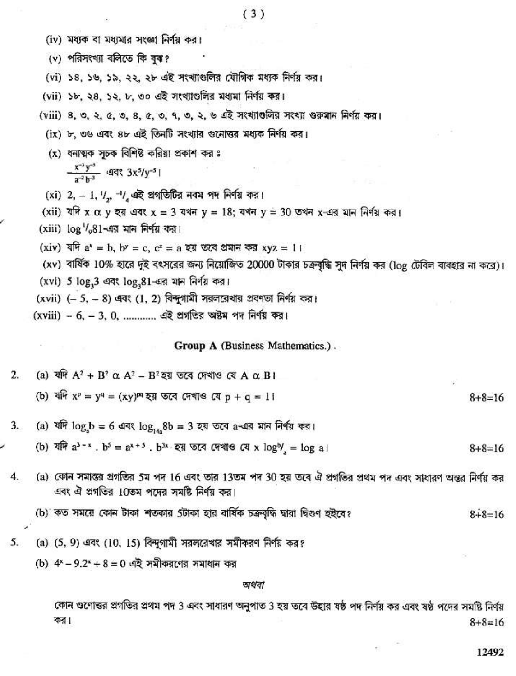- (iv) মধ্যক বা মধ্যমার সংজ্ঞা নির্ণয় কর।
- (v) পরিসংখ্যা বলিতে কি বঝ?
- (vi) ১৪, ১৬, ১৯, ২২, ২৮ এই সংখ্যাগুলির যৌগিক মধ্যক নির্ণয় কর।
- (vii) ১৮, ২৪, ১২, ৮, ৩০ এই সংখ্যাগুলির মধ্যমা নির্ণয় কর।
- (viii) 8, ৩, ২, ৫, ৩, ৪, ৫, ৩, ৭, ৩, ২, ৬ এই সংখ্যাতলির সংখ্যা গুরুমান নির্ণয় কর।
	- (ix) ৮, ৩৬ এবং ৪৮ এই তিনটি সংখ্যার গুনোত্তর মধ্যক নির্ণয় কর।
	- $(x)$  ধনাত্মক সচক বিশিষ্ট করিয়া প্রকাশ কর ঃ

 $\frac{x^{-3}y^{-5}}{x^{-2}y^{-3}}$  44 3x<sup>5</sup>/y<sup>-5</sup> |

- (xi) 2, 1, 1/2,  $^{-1}$ /4 এই প্রগতিটির নবম পদ নির্ণয় কর।
- (xii) যদি x α y হয় এবং x = 3 যখন y = 18; যখন y = 30 তখন x-এর মান নির্ণয় কর।
- (xiii)  $\log$   $\frac{1}{2}$ 81-এর মান নির্ণয় কর।
	- (xiv) যদি  $a^x = b$ ,  $b^y = c$ ,  $c^z = a$  হয় তবে প্রমান কর xyz = 1।
	- (xv) বার্ষিক 10% হারে দুই বৎসরের জন্য নিয়োজিত 20000 টাকার চক্রবৃদ্ধি সুদ নির্ণয় কর (log টেবিল ব্যবহার না করে)।
	- (xvi) 5 log, 3 এবং log, 81-এর মান নির্ণয় কর।
	- (xvii)  $(-5, -8)$  এবং (1, 2) বিন্দুগামী সরলরেখার প্রবণতা নির্ণয় কর।
	- (xviii) 6, 3, 0, ............ এই প্রগতির অষ্টম পদ নির্ণয় কর।

Group A (Business Mathematics.).

- $\overline{2}$ . (a) যদি  $A^2 + B^2 \alpha A^2 - B^2$ হয় তবে দেখাও যে A α B I (b) যদি  $x^p = y^q = (xy)^{pq}$  হয় তবে দেখাও যে  $p + q = 11$  $8 + 8 = 16$
- (a) যদি log<sub>3</sub>b = 6 এবং log<sub>14</sub>.8b = 3 হয় তবে a-এর মান নির্ণয় কর। 3.
- (b) যদি  $a^{3-x}$ .  $b^3 = a^{x+5}$ .  $b^{3x}$  হয় তবে দেখাও যে x  $log^b$ , =  $log a$ ।  $8 + 8 = 16$
- 4. (a) কোন সমাস্তর প্রগতির 5ম পদ 16 এবং তার 13তম পদ 30 হয় তবে ঐ প্রগতির প্রথম পদ এবং সাধারণ অন্তর নির্ণয় কর এবং ঐ প্রগতির 10তম পদের সমষ্টি নির্ণয় কর।
	- (b) কত সময়ে কোন টাকা শতকার 5টাকা হার বার্ষিক চক্রবৃদ্ধি দ্বারা দ্বিগুণ হইবে?  $8 + 8 = 16$
- (a) (5, 9) এবং (10, 15) বিন্দুগামী সরলরেখার সমীকরণ নির্ণয় কর? 5.
	- (b)  $4^{x}-9.2^{x}+8=0$  এই সমীকরণের সমাধান কর

অথবা

কোন গুণোত্তর প্রগতির প্রথম পদ 3 এবং সাধারণ অনুপাত 3 হয় তবে উহার ষষ্ঠ পদ নির্ণয় কর এবং ষষ্ঠ পদের সমষ্টি নির্ণয কর।  $8 + 8 = 16$